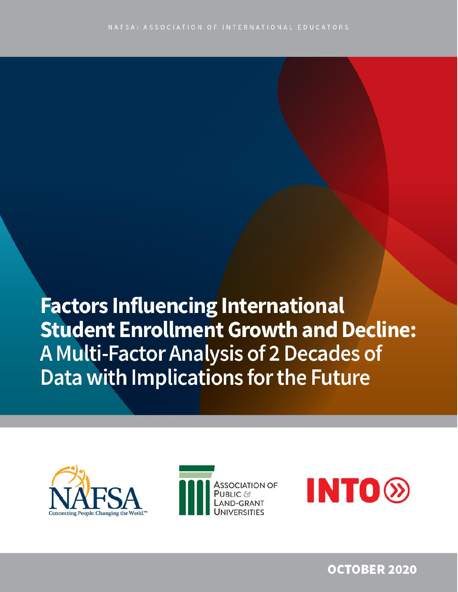**Factors Influencing International Student Enrollment Growth and Decline:** A Multi-Factor Analysis of 2 Decades of Data with Implications for the Future







**OCTOBER 2020**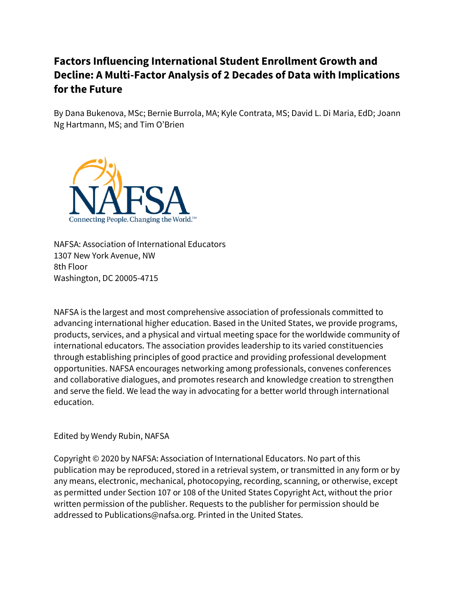## **Factors Influencing International Student Enrollment Growth and Decline: A Multi-Factor Analysis of 2 Decades of Data with Implications for the Future**

By Dana Bukenova, MSc; Bernie Burrola, MA; Kyle Contrata, MS; David L. Di Maria, EdD; Joann Ng Hartmann, MS; and Tim O'Brien



NAFSA: Association of International Educators 1307 New York Avenue, NW 8th Floor Washington, DC 20005-4715

NAFSA is the largest and most comprehensive association of professionals committed to advancing international higher education. Based in the United States, we provide programs, products, services, and a physical and virtual meeting space for the worldwide community of international educators. The association provides leadership to its varied constituencies through establishing principles of good practice and providing professional development opportunities. NAFSA encourages networking among professionals, convenes conferences and collaborative dialogues, and promotes research and knowledge creation to strengthen and serve the field. We lead the way in advocating for a better world through international education.

Edited by Wendy Rubin, NAFSA

Copyright © 2020 by NAFSA: Association of International Educators. No part of this publication may be reproduced, stored in a retrieval system, or transmitted in any form or by any means, electronic, mechanical, photocopying, recording, scanning, or otherwise, except as permitted under Section 107 or 108 of the United States Copyright Act, without the prior written permission of the publisher. Requests to the publisher for permission should be addressed to Publications@nafsa.org. Printed in the United States.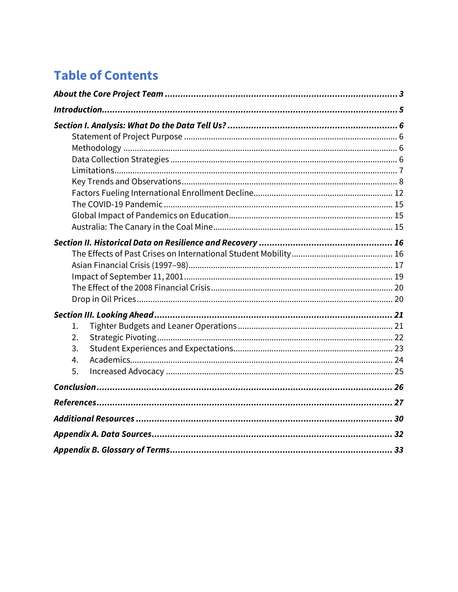# **Table of Contents**

| 1.<br>$\overline{2}$ .<br>3.<br>4.<br>5. |  |
|------------------------------------------|--|
|                                          |  |
|                                          |  |
|                                          |  |
|                                          |  |
|                                          |  |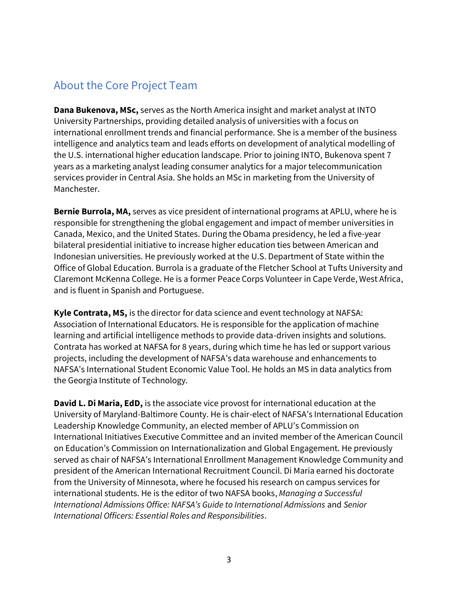# <span id="page-3-0"></span>About the Core Project Team

**Dana Bukenova, MSc,** serves as the North America insight and market analyst at INTO University Partnerships, providing detailed analysis of universities with a focus on international enrollment trends and financial performance. She is a member of the business intelligence and analytics team and leads efforts on development of analytical modelling of the U.S. international higher education landscape. Prior to joining INTO, Bukenova spent 7 years as a marketing analyst leading consumer analytics for a major telecommunication services provider in Central Asia. She holds an MSc in marketing from the University of Manchester.

**Bernie Burrola, MA,** serves as vice president of international programs at APLU, where he is responsible for strengthening the global engagement and impact of member universities in Canada, Mexico, and the United States. During the Obama presidency, he led a five-year bilateral presidential initiative to increase higher education ties between American and Indonesian universities. He previously worked at the U.S. Department of State within the Office of Global Education. Burrola is a graduate of the Fletcher School at Tufts University and Claremont McKenna College. He is a former Peace Corps Volunteer in Cape Verde, West Africa, and is fluent in Spanish and Portuguese.

**Kyle Contrata, MS,** is the director for data science and event technology at NAFSA: Association of International Educators. He is responsible for the application of machine learning and artificial intelligence methods to provide data-driven insights and solutions. Contrata has worked at NAFSA for 8 years, during which time he has led or support various projects, including the development of NAFSA's data warehouse and enhancements to NAFSA's International Student Economic Value Tool. He holds an MS in data analytics from the Georgia Institute of Technology.

**David L. Di Maria, EdD,** is the associate vice provost for international education at the University of Maryland-Baltimore County. He is chair-elect of NAFSA's International Education Leadership Knowledge Community, an elected member of APLU's Commission on International Initiatives Executive Committee and an invited member of the American Council on Education's Commission on Internationalization and Global Engagement. He previously served as chair of NAFSA's International Enrollment Management Knowledge Community and president of the American International Recruitment Council. Di Maria earned his doctorate from the University of Minnesota, where he focused his research on campus services for international students. He is the editor of two NAFSA books, *Managing a Successful International Admissions Office: NAFSA's Guide to International Admissions* and *Senior International Officers: Essential Roles and Responsibilities*.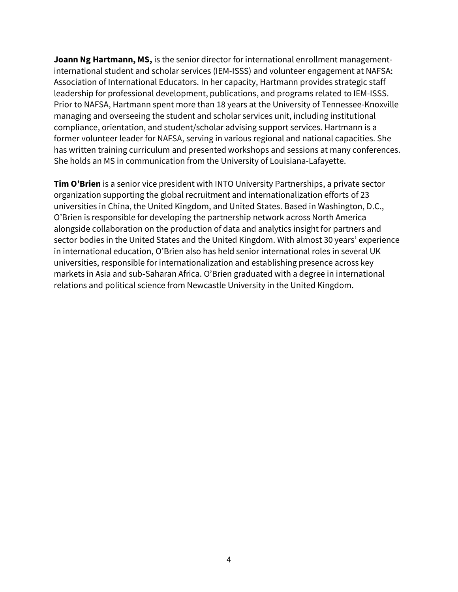**Joann Ng Hartmann, MS,** is the senior director for international enrollment managementinternational student and scholar services (IEM-ISSS) and volunteer engagement at NAFSA: Association of International Educators. In her capacity, Hartmann provides strategic staff leadership for professional development, publications, and programs related to IEM-ISSS. Prior to NAFSA, Hartmann spent more than 18 years at the University of Tennessee-Knoxville managing and overseeing the student and scholar services unit, including institutional compliance, orientation, and student/scholar advising support services. Hartmann is a former volunteer leader for NAFSA, serving in various regional and national capacities. She has written training curriculum and presented workshops and sessions at many conferences. She holds an MS in communication from the University of Louisiana-Lafayette.

**Tim O'Brien** is a senior vice president with INTO University Partnerships, a private sector organization supporting the global recruitment and internationalization efforts of 23 universities in China, the United Kingdom, and United States. Based in Washington, D.C., O'Brien is responsible for developing the partnership network across North America alongside collaboration on the production of data and analytics insight for partners and sector bodies in the United States and the United Kingdom. With almost 30 years' experience in international education, O'Brien also has held senior international roles in several UK universities, responsible for internationalization and establishing presence across key markets in Asia and sub-Saharan Africa. O'Brien graduated with a degree in international relations and political science from Newcastle University in the United Kingdom.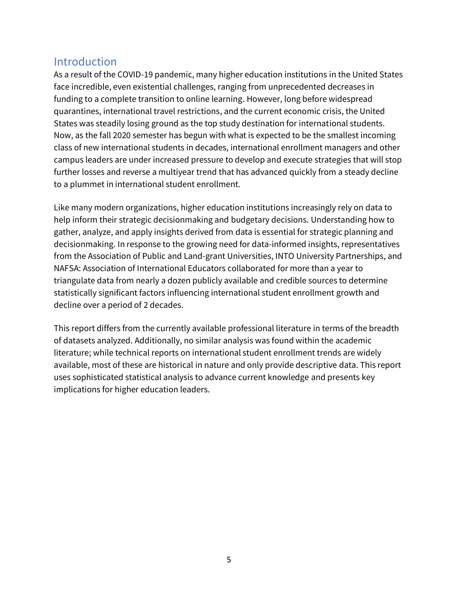## <span id="page-5-0"></span>**Introduction**

As a result of the COVID-19 pandemic, many higher education institutions in the United States face incredible, even existential challenges, ranging from unprecedented decreases in funding to a complete transition to online learning. However, long before widespread quarantines, international travel restrictions, and the current economic crisis, the United States was steadily losing ground as the top study destination for international students. Now, as the fall 2020 semester has begun with what is expected to be the smallest incoming class of new international students in decades, international enrollment managers and other campus leaders are under increased pressure to develop and execute strategies that will stop further losses and reverse a multiyear trend that has advanced quickly from a steady decline to a plummet in international student enrollment.

Like many modern organizations, higher education institutions increasingly rely on data to help inform their strategic decisionmaking and budgetary decisions. Understanding how to gather, analyze, and apply insights derived from data is essential for strategic planning and decisionmaking. In response to the growing need for data-informed insights, representatives from the Association of Public and Land-grant Universities, INTO University Partnerships, and NAFSA: Association of International Educators collaborated for more than a year to triangulate data from nearly a dozen publicly available and credible sources to determine statistically significant factors influencing international student enrollment growth and decline over a period of 2 decades.

This report differs from the currently available professional literature in terms of the breadth of datasets analyzed. Additionally, no similar analysis was found within the academic literature; while technical reports on international student enrollment trends are widely available, most of these are historical in nature and only provide descriptive data. This report uses sophisticated statistical analysis to advance current knowledge and presents key implications for higher education leaders.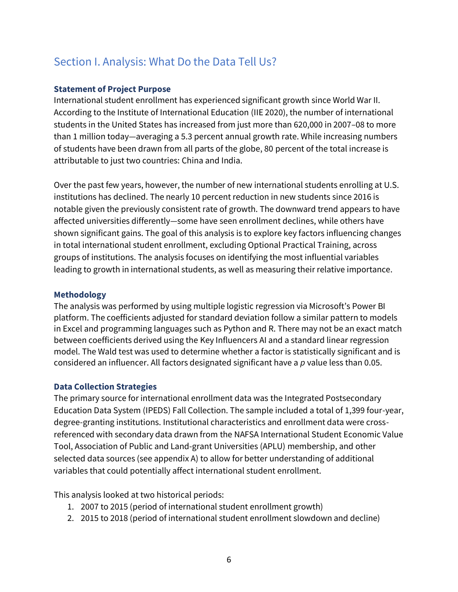# <span id="page-6-0"></span>Section I. Analysis: What Do the Data Tell Us?

#### <span id="page-6-1"></span>**Statement of Project Purpose**

International student enrollment has experienced significant growth since World War II. According to the Institute of International Education (IIE 2020), the number of international students in the United States has increased from just more than 620,000 in 2007–08 to more than 1 million today—averaging a 5.3 percent annual growth rate. While increasing numbers of students have been drawn from all parts of the globe, 80 percent of the total increase is attributable to just two countries: China and India.

Over the past few years, however, the number of new international students enrolling at U.S. institutions has declined. The nearly 10 percent reduction in new students since 2016 is notable given the previously consistent rate of growth. The downward trend appears to have affected universities differently—some have seen enrollment declines, while others have shown significant gains. The goal of this analysis is to explore key factors influencing changes in total international student enrollment, excluding Optional Practical Training, across groups of institutions. The analysis focuses on identifying the most influential variables leading to growth in international students, as well as measuring their relative importance.

#### <span id="page-6-2"></span>**Methodology**

The analysis was performed by using multiple logistic regression via Microsoft's Power BI platform. The coefficients adjusted for standard deviation follow a similar pattern to models in Excel and programming languages such as Python and R. There may not be an exact match between coefficients derived using the Key Influencers AI and a standard linear regression model. The Wald test was used to determine whether a factor is statistically significant and is considered an influencer. All factors designated significant have a *p* value less than 0.05.

#### <span id="page-6-3"></span>**Data Collection Strategies**

The primary source for international enrollment data was the Integrated Postsecondary Education Data System (IPEDS) Fall Collection. The sample included a total of 1,399 four-year, degree-granting institutions. Institutional characteristics and enrollment data were crossreferenced with secondary data drawn from the NAFSA International Student Economic Value Tool, Association of Public and Land-grant Universities (APLU) membership, and other selected data sources (see appendix A) to allow for better understanding of additional variables that could potentially affect international student enrollment.

This analysis looked at two historical periods:

- 1. 2007 to 2015 (period of international student enrollment growth)
- 2. 2015 to 2018 (period of international student enrollment slowdown and decline)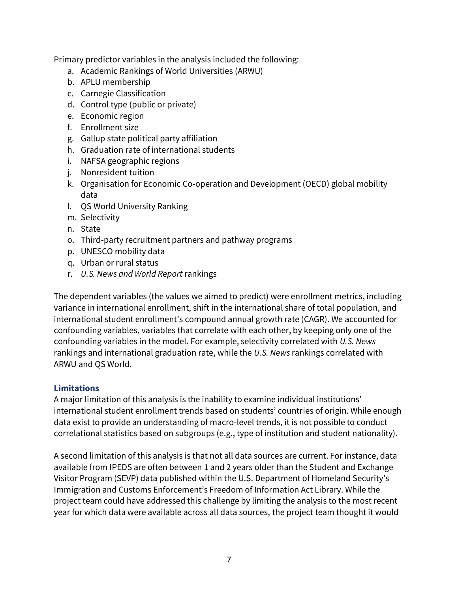Primary predictor variables in the analysis included the following:

- a. Academic Rankings of World Universities (ARWU)
- b. APLU membership
- c. Carnegie Classification
- d. Control type (public or private)
- e. Economic region
- f. Enrollment size
- g. Gallup state political party affiliation
- h. Graduation rate of international students
- i. NAFSA geographic regions
- j. Nonresident tuition
- k. Organisation for Economic Co-operation and Development (OECD) global mobility data
- l. QS World University Ranking
- m. Selectivity
- n. State
- o. Third-party recruitment partners and pathway programs
- p. UNESCO mobility data
- q. Urban or rural status
- r. *U.S. News and World Report* rankings

The dependent variables (the values we aimed to predict) were enrollment metrics, including variance in international enrollment, shift in the international share of total population, and international student enrollment's compound annual growth rate (CAGR). We accounted for confounding variables, variables that correlate with each other, by keeping only one of the confounding variables in the model. For example, selectivity correlated with *U.S. News* rankings and international graduation rate, while the *U.S. News* rankings correlated with ARWU and QS World.

#### <span id="page-7-0"></span>**Limitations**

A major limitation of this analysis is the inability to examine individual institutions' international student enrollment trends based on students' countries of origin. While enough data exist to provide an understanding of macro-level trends, it is not possible to conduct correlational statistics based on subgroups (e.g., type of institution and student nationality).

A second limitation of this analysis is that not all data sources are current. For instance, data available from IPEDS are often between 1 and 2 years older than the Student and Exchange Visitor Program (SEVP) data published within the U.S. Department of Homeland Security's Immigration and Customs Enforcement's Freedom of Information Act Library. While the project team could have addressed this challenge by limiting the analysis to the most recent year for which data were available across all data sources, the project team thought it would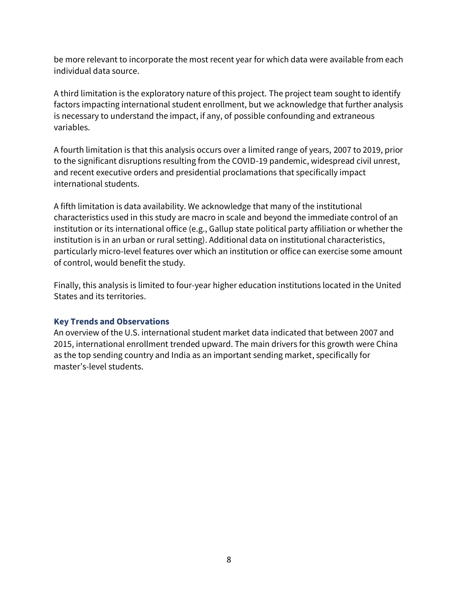be more relevant to incorporate the most recent year for which data were available from each individual data source.

A third limitation is the exploratory nature of this project. The project team sought to identify factors impacting international student enrollment, but we acknowledge that further analysis is necessary to understand the impact, if any, of possible confounding and extraneous variables.

A fourth limitation is that this analysis occurs over a limited range of years, 2007 to 2019, prior to the significant disruptions resulting from the COVID-19 pandemic, widespread civil unrest, and recent executive orders and presidential proclamations that specifically impact international students.

A fifth limitation is data availability. We acknowledge that many of the institutional characteristics used in this study are macro in scale and beyond the immediate control of an institution or its international office (e.g., Gallup state political party affiliation or whether the institution is in an urban or rural setting). Additional data on institutional characteristics, particularly micro-level features over which an institution or office can exercise some amount of control, would benefit the study.

Finally, this analysis is limited to four-year higher education institutions located in the United States and its territories.

#### <span id="page-8-0"></span>**Key Trends and Observations**

An overview of the U.S. international student market data indicated that between 2007 and 2015, international enrollment trended upward. The main drivers for this growth were China as the top sending country and India as an important sending market, specifically for master's-level students.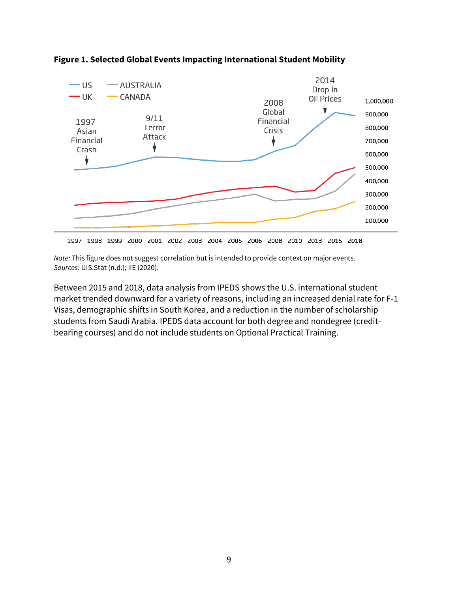

#### **Figure 1. Selected Global Events Impacting International Student Mobility**

1997 1998 1999 2000 2001 2002 2003 2004 2005 2006 2008 2010 2013 2015 2018

*Note:* This figure does not suggest correlation but is intended to provide context on major events. *Sources:* UIS.Stat (n.d.); IIE (2020).

Between 2015 and 2018, data analysis from IPEDS shows the U.S. international student market trended downward for a variety of reasons, including an increased denial rate for F-1 Visas, demographic shifts in South Korea, and a reduction in the number of scholarship students from Saudi Arabia. IPEDS data account for both degree and nondegree (creditbearing courses) and do not include students on Optional Practical Training.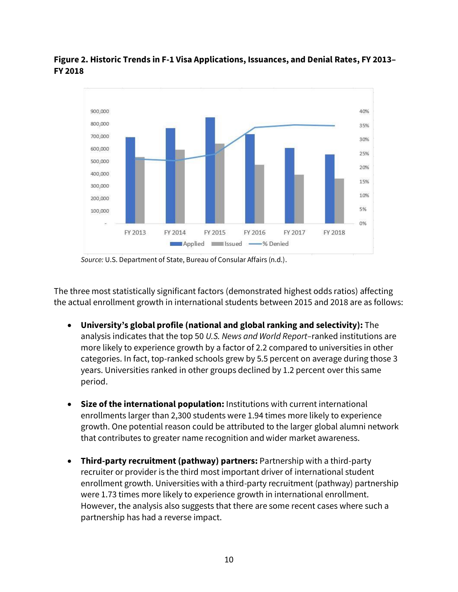#### **Figure 2. Historic Trends in F-1 Visa Applications, Issuances, and Denial Rates, FY 2013– FY 2018**



*Source:* U.S. Department of State, Bureau of Consular Affairs (n.d.).

The three most statistically significant factors (demonstrated highest odds ratios) affecting the actual enrollment growth in international students between 2015 and 2018 are as follows:

- **University's global profile (national and global ranking and selectivity):** The analysis indicates that the top 50 *U.S. News and World Report–*ranked institutions are more likely to experience growth by a factor of 2.2 compared to universities in other categories. In fact, top-ranked schools grew by 5.5 percent on average during those 3 years. Universities ranked in other groups declined by 1.2 percent over this same period.
- **Size of the international population:** Institutions with current international enrollments larger than 2,300 students were 1.94 times more likely to experience growth. One potential reason could be attributed to the larger global alumni network that contributes to greater name recognition and wider market awareness.
- **Third-party recruitment (pathway) partners:** Partnership with a third-party recruiter or provider is the third most important driver of international student enrollment growth. Universities with a third-party recruitment (pathway) partnership were 1.73 times more likely to experience growth in international enrollment. However, the analysis also suggests that there are some recent cases where such a partnership has had a reverse impact.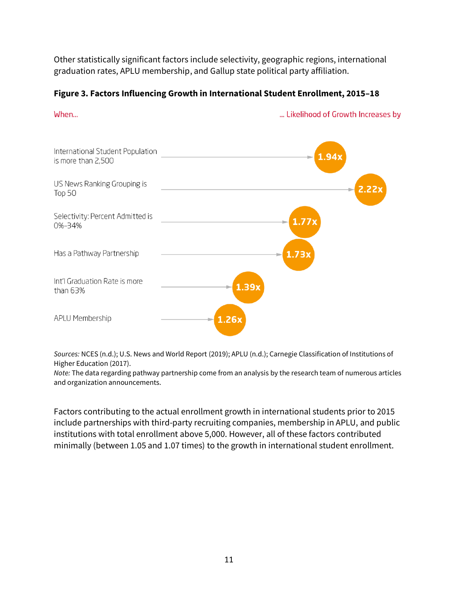Other statistically significant factors include selectivity, geographic regions, international graduation rates, APLU membership, and Gallup state political party affiliation.

#### **Figure 3. Factors Influencing Growth in International Student Enrollment, 2015–18**

#### When...

... Likelihood of Growth Increases by



*Sources:* NCES (n.d.); U.S. News and World Report (2019); APLU (n.d.); Carnegie Classification of Institutions of Higher Education (2017).

*Note:* The data regarding pathway partnership come from an analysis by the research team of numerous articles and organization announcements.

Factors contributing to the actual enrollment growth in international students prior to 2015 include partnerships with third-party recruiting companies, membership in APLU, and public institutions with total enrollment above 5,000. However, all of these factors contributed minimally (between 1.05 and 1.07 times) to the growth in international student enrollment.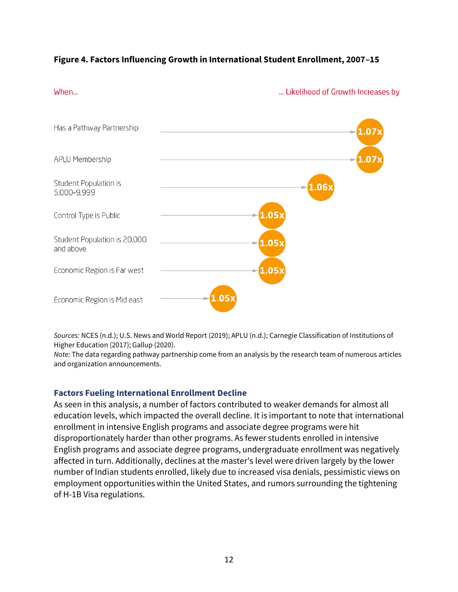#### **Figure 4. Factors Influencing Growth in International Student Enrollment, 2007–15**

#### When...

... Likelihood of Growth Increases by



*Sources:* NCES (n.d.); U.S. News and World Report (2019); APLU (n.d.); Carnegie Classification of Institutions of Higher Education (2017); Gallup (2020).

*Note:* The data regarding pathway partnership come from an analysis by the research team of numerous articles and organization announcements.

#### <span id="page-12-0"></span>**Factors Fueling International Enrollment Decline**

As seen in this analysis, a number of factors contributed to weaker demands for almost all education levels, which impacted the overall decline. It is important to note that international enrollment in intensive English programs and associate degree programs were hit disproportionately harder than other programs. As fewer students enrolled in intensive English programs and associate degree programs, undergraduate enrollment was negatively affected in turn. Additionally, declines at the master's level were driven largely by the lower number of Indian students enrolled, likely due to increased visa denials, pessimistic views on employment opportunities within the United States, and rumors surrounding the tightening of H-1B Visa regulations.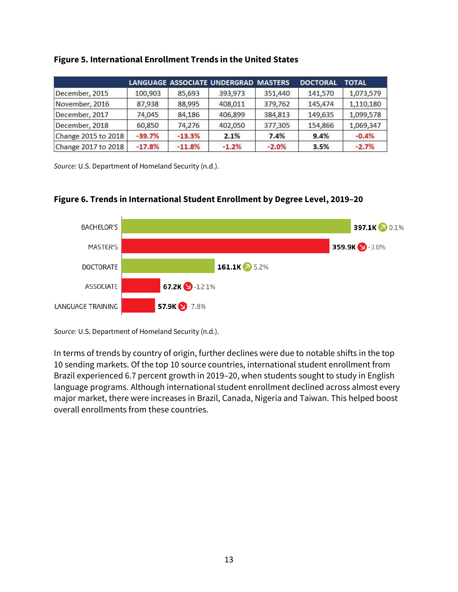|                     |          |          | LANGUAGE ASSOCIATE UNDERGRAD MASTERS |         | <b>DOCTORAL</b> | <b>TOTAL</b> |
|---------------------|----------|----------|--------------------------------------|---------|-----------------|--------------|
| December, 2015      | 100,903  | 85,693   | 393,973                              | 351,440 | 141,570         | 1,073,579    |
| November, 2016      | 87,938   | 88,995   | 408,011                              | 379,762 | 145,474         | 1,110,180    |
| December, 2017      | 74.045   | 84,186   | 406,899                              | 384.813 | 149,635         | 1,099,578    |
| December, 2018      | 60,850   | 74,276   | 402,050                              | 377,305 | 154,866         | 1,069,347    |
| Change 2015 to 2018 | $-39.7%$ | $-13.3%$ | 2.1%                                 | 7.4%    | 9.4%            | $-0.4%$      |
| Change 2017 to 2018 | $-17.8%$ | $-11.8%$ | $-1.2%$                              | $-2.0%$ | 3.5%            | $-2.7%$      |

#### **Figure 5. International Enrollment Trends in the United States**

*Source:* U.S. Department of Homeland Security (n.d.).

#### **Figure 6. Trends in International Student Enrollment by Degree Level, 2019–20**



*Source:* U.S. Department of Homeland Security (n.d.).

In terms of trends by country of origin, further declines were due to notable shifts in the top 10 sending markets. Of the top 10 source countries, international student enrollment from Brazil experienced 6.7 percent growth in 2019–20, when students sought to study in English language programs. Although international student enrollment declined across almost every major market, there were increases in Brazil, Canada, Nigeria and Taiwan. This helped boost overall enrollments from these countries.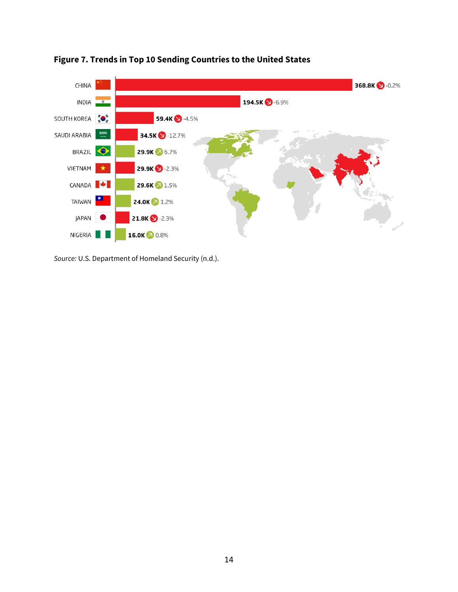

**Figure 7. Trends in Top 10 Sending Countries to the United States**

*Source:* U.S. Department of Homeland Security (n.d.).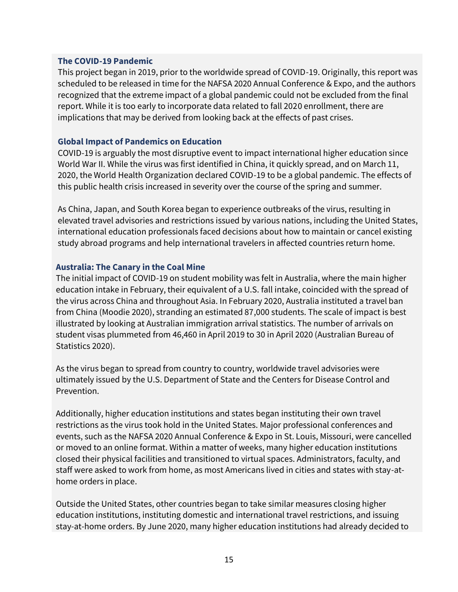#### <span id="page-15-0"></span>**The COVID-19 Pandemic**

This project began in 2019, prior to the worldwide spread of COVID-19. Originally, this report was scheduled to be released in time for the NAFSA 2020 Annual Conference & Expo, and the authors recognized that the extreme impact of a global pandemic could not be excluded from the final report. While it is too early to incorporate data related to fall 2020 enrollment, there are implications that may be derived from looking back at the effects of past crises.

#### <span id="page-15-1"></span>**Global Impact of Pandemics on Education**

COVID-19 is arguably the most disruptive event to impact international higher education since World War II. While the virus was first identified in China, it quickly spread, and on March 11, 2020, the World Health Organization declared COVID-19 to be a global pandemic. The effects of this public health crisis increased in severity over the course of the spring and summer.

As China, Japan, and South Korea began to experience outbreaks of the virus, resulting in elevated travel advisories and restrictions issued by various nations, including the United States, international education professionals faced decisions about how to maintain or cancel existing study abroad programs and help international travelers in affected countries return home.

#### <span id="page-15-2"></span>**Australia: The Canary in the Coal Mine**

The initial impact of COVID-19 on student mobility was felt in Australia, where the main higher education intake in February, their equivalent of a U.S. fall intake, coincided with the spread of the virus across China and throughout Asia. In February 2020, Australia instituted a travel ban from China (Moodie 2020), stranding an estimated 87,000 students. The scale of impact is best illustrated by looking at Australian immigration arrival statistics. The number of arrivals on student visas plummeted from 46,460 in April 2019 to 30 in April 2020 (Australian Bureau of Statistics 2020).

As the virus began to spread from country to country, worldwide travel advisories were ultimately issued by the U.S. Department of State and the Centers for Disease Control and Prevention.

Additionally, higher education institutions and states began instituting their own travel restrictions as the virus took hold in the United States. Major professional conferences and events, such as the NAFSA 2020 Annual Conference & Expo in St. Louis, Missouri, were cancelled or moved to an online format. Within a matter of weeks, many higher education institutions closed their physical facilities and transitioned to virtual spaces. Administrators, faculty, and staff were asked to work from home, as most Americans lived in cities and states with stay-athome orders in place.

Outside the United States, other countries began to take similar measures closing higher education institutions, instituting domestic and international travel restrictions, and issuing stay-at-home orders. By June 2020, many higher education institutions had already decided to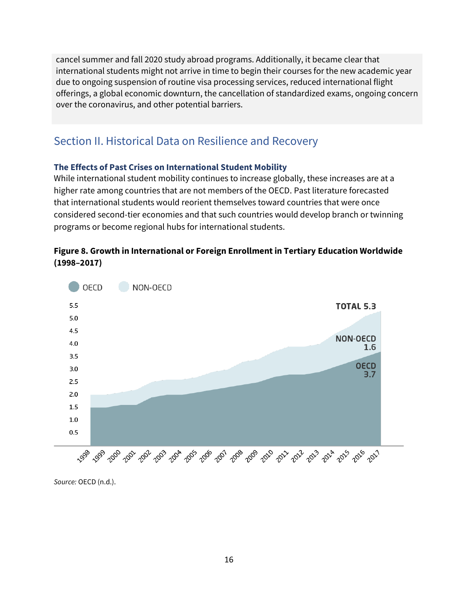cancel summer and fall 2020 study abroad programs. Additionally, it became clear that international students might not arrive in time to begin their courses for the new academic year due to ongoing suspension of routine visa processing services, reduced international flight offerings, a global economic downturn, the cancellation of standardized exams, ongoing concern over the coronavirus, and other potential barriers.

# <span id="page-16-0"></span>Section II. Historical Data on Resilience and Recovery

#### <span id="page-16-1"></span>**The Effects of Past Crises on International Student Mobility**

While international student mobility continues to increase globally, these increases are at a higher rate among countries that are not members of the OECD. Past literature forecasted that international students would reorient themselves toward countries that were once considered second-tier economies and that such countries would develop branch or twinning programs or become regional hubs for international students.

### **Figure 8. Growth in International or Foreign Enrollment in Tertiary Education Worldwide (1998–2017)**



*Source:* OECD (n.d.).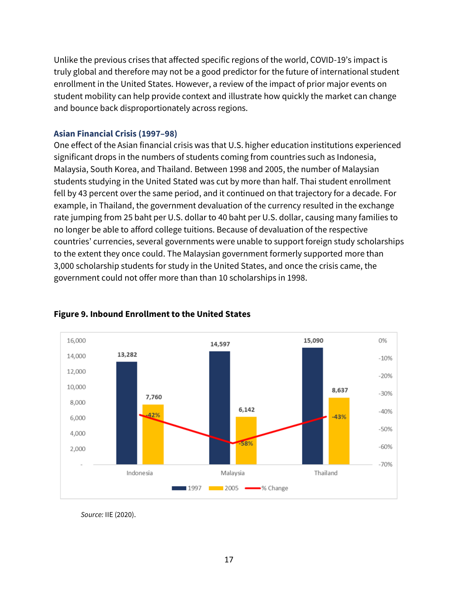Unlike the previous crises that affected specific regions of the world, COVID-19's impact is truly global and therefore may not be a good predictor for the future of international student enrollment in the United States. However, a review of the impact of prior major events on student mobility can help provide context and illustrate how quickly the market can change and bounce back disproportionately across regions.

#### <span id="page-17-0"></span>**Asian Financial Crisis (1997–98)**

One effect of the Asian financial crisis was that U.S. higher education institutions experienced significant drops in the numbers of students coming from countries such as Indonesia, Malaysia, South Korea, and Thailand. Between 1998 and 2005, the number of Malaysian students studying in the United Stated was cut by more than half. Thai student enrollment fell by 43 percent over the same period, and it continued on that trajectory for a decade. For example, in Thailand, the government devaluation of the currency resulted in the exchange rate jumping from 25 baht per U.S. dollar to 40 baht per U.S. dollar, causing many families to no longer be able to afford college tuitions. Because of devaluation of the respective countries' currencies, several governments were unable to support foreign study scholarships to the extent they once could. The Malaysian government formerly supported more than 3,000 scholarship students for study in the United States, and once the crisis came, the government could not offer more than than 10 scholarships in 1998.



### **Figure 9. Inbound Enrollment to the United States**

*Source:* IIE (2020).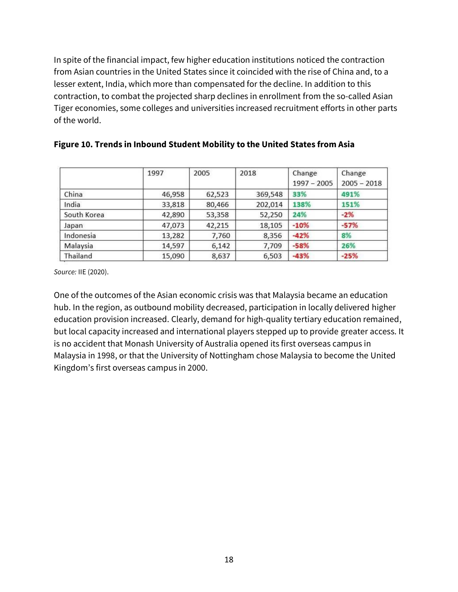In spite of the financial impact, few higher education institutions noticed the contraction from Asian countries in the United States since it coincided with the rise of China and, to a lesser extent, India, which more than compensated for the decline. In addition to this contraction, to combat the projected sharp declines in enrollment from the so-called Asian Tiger economies, some colleges and universities increased recruitment efforts in other parts of the world.

|             | 1997   | 2005   | 2018    | Change<br>$1997 - 2005$ | Change<br>$2005 - 2018$ |
|-------------|--------|--------|---------|-------------------------|-------------------------|
| China       | 46,958 | 62,523 | 369,548 | 33%                     | 491%                    |
| India       | 33,818 | 80,466 | 202,014 | 138%                    | 151%                    |
| South Korea | 42,890 | 53,358 | 52,250  | 24%                     | $-2%$                   |
| Japan       | 47,073 | 42,215 | 18,105  | $-10%$                  | $-57%$                  |
| Indonesia   | 13,282 | 7,760  | 8,356   | $-42%$                  | 8%                      |
| Malaysia    | 14,597 | 6,142  | 7,709   | $-58%$                  | 26%                     |
| Thailand    | 15,090 | 8,637  | 6,503   | $-43%$                  | $-25%$                  |

#### **Figure 10. Trends in Inbound Student Mobility to the United States from Asia**

*Source:* IIE (2020).

One of the outcomes of the Asian economic crisis was that Malaysia became an education hub. In the region, as outbound mobility decreased, participation in locally delivered higher education provision increased. Clearly, demand for high-quality tertiary education remained, but local capacity increased and international players stepped up to provide greater access. It is no accident that Monash University of Australia opened its first overseas campus in Malaysia in 1998, or that the University of Nottingham chose Malaysia to become the United Kingdom's first overseas campus in 2000.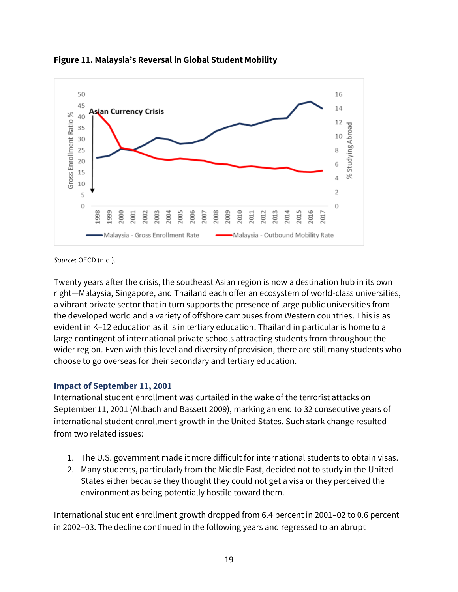

**Figure 11. Malaysia's Reversal in Global Student Mobility**

*Source*: OECD (n.d.).

Twenty years after the crisis, the southeast Asian region is now a destination hub in its own right—Malaysia, Singapore, and Thailand each offer an ecosystem of world-class universities, a vibrant private sector that in turn supports the presence of large public universities from the developed world and a variety of offshore campuses from Western countries. This is as evident in K–12 education as it is in tertiary education. Thailand in particular is home to a large contingent of international private schools attracting students from throughout the wider region. Even with this level and diversity of provision, there are still many students who choose to go overseas for their secondary and tertiary education.

#### <span id="page-19-0"></span>**Impact of September 11, 2001**

International student enrollment was curtailed in the wake of the terrorist attacks on September 11, 2001 (Altbach and Bassett 2009), marking an end to 32 consecutive years of international student enrollment growth in the United States. Such stark change resulted from two related issues:

- 1. The U.S. government made it more difficult for international students to obtain visas.
- 2. Many students, particularly from the Middle East, decided not to study in the United States either because they thought they could not get a visa or they perceived the environment as being potentially hostile toward them.

International student enrollment growth dropped from 6.4 percent in 2001–02 to 0.6 percent in 2002–03. The decline continued in the following years and regressed to an abrupt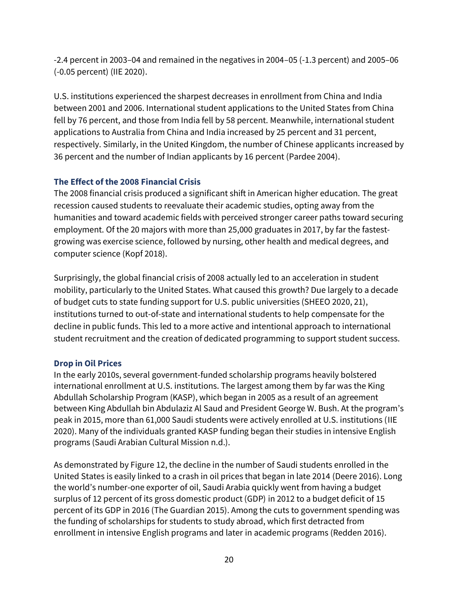-2.4 percent in 2003–04 and remained in the negatives in 2004–05 (-1.3 percent) and 2005–06 (-0.05 percent) (IIE 2020).

U.S. institutions experienced the sharpest decreases in enrollment from China and India between 2001 and 2006. International student applications to the United States from China fell by 76 percent, and those from India fell by 58 percent. Meanwhile, international student applications to Australia from China and India increased by 25 percent and 31 percent, respectively. Similarly, in the United Kingdom, the number of Chinese applicants increased by 36 percent and the number of Indian applicants by 16 percent (Pardee 2004).

### <span id="page-20-0"></span>**The Effect of the 2008 Financial Crisis**

The 2008 financial crisis produced a significant shift in American higher education. The great recession caused students to reevaluate their academic studies, opting away from the humanities and toward academic fields with perceived stronger career paths toward securing employment. Of the 20 majors with more than 25,000 graduates in 2017, by far the fastestgrowing was exercise science, followed by nursing, other health and medical degrees, and computer science (Kopf 2018).

Surprisingly, the global financial crisis of 2008 actually led to an acceleration in student mobility, particularly to the United States. What caused this growth? Due largely to a decade of budget cuts to state funding support for U.S. public universities (SHEEO 2020, 21), institutions turned to out-of-state and international students to help compensate for the decline in public funds. This led to a more active and intentional approach to international student recruitment and the creation of dedicated programming to support student success.

### <span id="page-20-1"></span>**Drop in Oil Prices**

In the early 2010s, several government-funded scholarship programs heavily bolstered international enrollment at U.S. institutions. The largest among them by far was the King Abdullah Scholarship Program (KASP), which began in 2005 as a result of an agreement between King Abdullah bin Abdulaziz Al Saud and President George W. Bush. At the program's peak in 2015, more than 61,000 Saudi students were actively enrolled at U.S. institutions (IIE 2020). Many of the individuals granted KASP funding began their studies in intensive English programs (Saudi Arabian Cultural Mission n.d.).

As demonstrated by Figure 12, the decline in the number of Saudi students enrolled in the United States is easily linked to a crash in oil prices that began in late 2014 (Deere 2016). Long the world's number-one exporter of oil, Saudi Arabia quickly went from having a budget surplus of 12 percent of its gross domestic product (GDP) in 2012 to a budget deficit of 15 percent of its GDP in 2016 (The Guardian 2015). Among the cuts to government spending was the funding of scholarships for students to study abroad, which first detracted from enrollment in intensive English programs and later in academic programs (Redden 2016).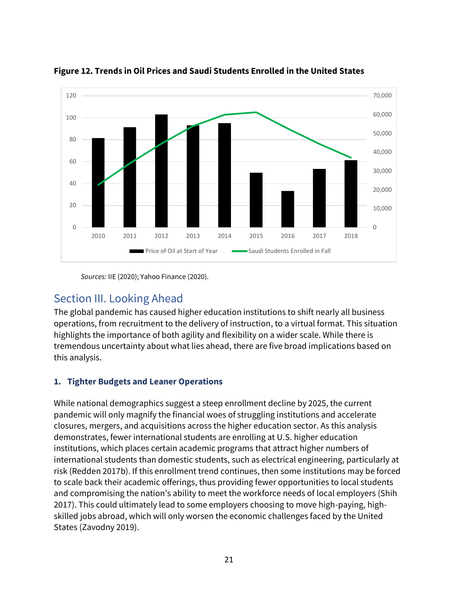



*Sources:* IIE (2020); Yahoo Finance (2020).

## <span id="page-21-0"></span>Section III. Looking Ahead

The global pandemic has caused higher education institutions to shift nearly all business operations, from recruitment to the delivery of instruction, to a virtual format. This situation highlights the importance of both agility and flexibility on a wider scale. While there is tremendous uncertainty about what lies ahead, there are five broad implications based on this analysis.

### <span id="page-21-1"></span>**1. Tighter Budgets and Leaner Operations**

While national demographics suggest a steep enrollment decline by 2025, the current pandemic will only magnify the financial woes of struggling institutions and accelerate closures, mergers, and acquisitions across the higher education sector. As this analysis demonstrates, fewer international students are enrolling at U.S. higher education institutions, which places certain academic programs that attract higher numbers of international students than domestic students, such as electrical engineering, particularly at risk (Redden 2017b). If this enrollment trend continues, then some institutions may be forced to scale back their academic offerings, thus providing fewer opportunities to local students and compromising the nation's ability to meet the workforce needs of local employers (Shih 2017). This could ultimately lead to some employers choosing to move high-paying, highskilled jobs abroad, which will only worsen the economic challenges faced by the United States (Zavodny 2019).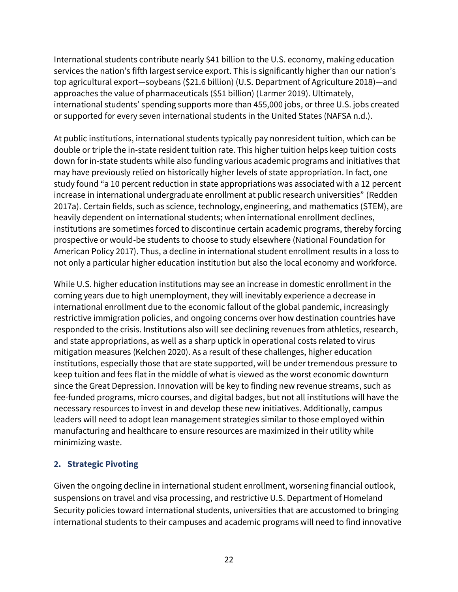International students contribute nearly \$41 billion to the U.S. economy, making education services the nation's fifth largest service export. This is significantly higher than our nation's top agricultural export—soybeans (\$21.6 billion) (U.S. Department of Agriculture 2018)—and approaches the value of pharmaceuticals (\$51 billion) (Larmer 2019). Ultimately, international students' spending supports more than 455,000 jobs, or three U.S. jobs created or supported for every seven international students in the United States (NAFSA n.d.).

At public institutions, international students typically pay nonresident tuition, which can be double or triple the in-state resident tuition rate. This higher tuition helps keep tuition costs down for in-state students while also funding various academic programs and initiatives that may have previously relied on historically higher levels of state appropriation. In fact, one study found "a 10 percent reduction in state appropriations was associated with a 12 percent increase in international undergraduate enrollment at public research universities" (Redden 2017a). Certain fields, such as science, technology, engineering, and mathematics (STEM), are heavily dependent on international students; when international enrollment declines, institutions are sometimes forced to discontinue certain academic programs, thereby forcing prospective or would-be students to choose to study elsewhere (National Foundation for American Policy 2017). Thus, a decline in international student enrollment results in a loss to not only a particular higher education institution but also the local economy and workforce.

While U.S. higher education institutions may see an increase in domestic enrollment in the coming years due to high unemployment, they will inevitably experience a decrease in international enrollment due to the economic fallout of the global pandemic, increasingly restrictive immigration policies, and ongoing concerns over how destination countries have responded to the crisis. Institutions also will see declining revenues from athletics, research, and state appropriations, as well as a sharp uptick in operational costs related to virus mitigation measures (Kelchen 2020). As a result of these challenges, higher education institutions, especially those that are state supported, will be under tremendous pressure to keep tuition and fees flat in the middle of what is viewed as the worst economic downturn since the Great Depression. Innovation will be key to finding new revenue streams, such as fee-funded programs, micro courses, and digital badges, but not all institutions will have the necessary resources to invest in and develop these new initiatives. Additionally, campus leaders will need to adopt lean management strategies similar to those employed within manufacturing and healthcare to ensure resources are maximized in their utility while minimizing waste.

### <span id="page-22-0"></span>**2. Strategic Pivoting**

Given the ongoing decline in international student enrollment, worsening financial outlook, suspensions on travel and visa processing, and restrictive U.S. Department of Homeland Security policies toward international students, universities that are accustomed to bringing international students to their campuses and academic programs will need to find innovative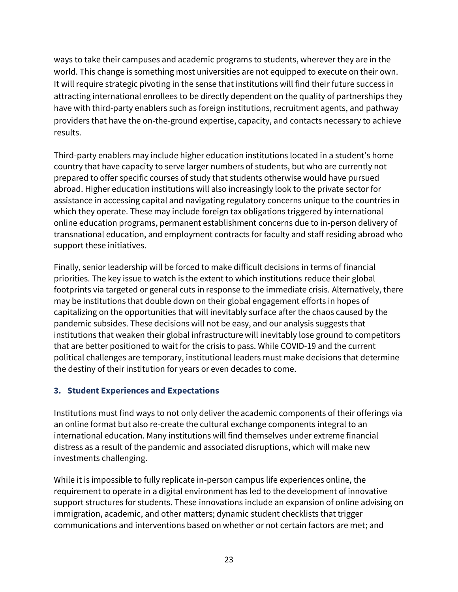ways to take their campuses and academic programs to students, wherever they are in the world. This change is something most universities are not equipped to execute on their own. It will require strategic pivoting in the sense that institutions will find their future success in attracting international enrollees to be directly dependent on the quality of partnerships they have with third-party enablers such as foreign institutions, recruitment agents, and pathway providers that have the on-the-ground expertise, capacity, and contacts necessary to achieve results.

Third-party enablers may include higher education institutions located in a student's home country that have capacity to serve larger numbers of students, but who are currently not prepared to offer specific courses of study that students otherwise would have pursued abroad. Higher education institutions will also increasingly look to the private sector for assistance in accessing capital and navigating regulatory concerns unique to the countries in which they operate. These may include foreign tax obligations triggered by international online education programs, permanent establishment concerns due to in-person delivery of transnational education, and employment contracts for faculty and staff residing abroad who support these initiatives.

Finally, senior leadership will be forced to make difficult decisions in terms of financial priorities. The key issue to watch is the extent to which institutions reduce their global footprints via targeted or general cuts in response to the immediate crisis. Alternatively, there may be institutions that double down on their global engagement efforts in hopes of capitalizing on the opportunities that will inevitably surface after the chaos caused by the pandemic subsides. These decisions will not be easy, and our analysis suggests that institutions that weaken their global infrastructure will inevitably lose ground to competitors that are better positioned to wait for the crisis to pass. While COVID-19 and the current political challenges are temporary, institutional leaders must make decisions that determine the destiny of their institution for years or even decades to come.

### <span id="page-23-0"></span>**3. Student Experiences and Expectations**

Institutions must find ways to not only deliver the academic components of their offerings via an online format but also re-create the cultural exchange components integral to an international education. Many institutions will find themselves under extreme financial distress as a result of the pandemic and associated disruptions, which will make new investments challenging.

While it is impossible to fully replicate in-person campus life experiences online, the requirement to operate in a digital environment has led to the development of innovative support structures for students. These innovations include an expansion of online advising on immigration, academic, and other matters; dynamic student checklists that trigger communications and interventions based on whether or not certain factors are met; and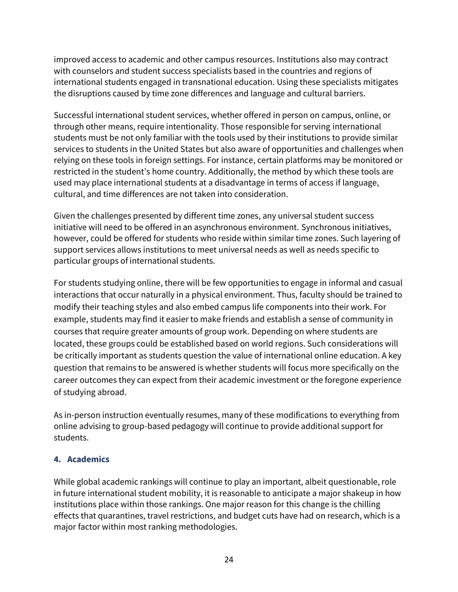improved access to academic and other campus resources. Institutions also may contract with counselors and student success specialists based in the countries and regions of international students engaged in transnational education. Using these specialists mitigates the disruptions caused by time zone differences and language and cultural barriers.

Successful international student services, whether offered in person on campus, online, or through other means, require intentionality. Those responsible for serving international students must be not only familiar with the tools used by their institutions to provide similar services to students in the United States but also aware of opportunities and challenges when relying on these tools in foreign settings. For instance, certain platforms may be monitored or restricted in the student's home country. Additionally, the method by which these tools are used may place international students at a disadvantage in terms of access if language, cultural, and time differences are not taken into consideration.

Given the challenges presented by different time zones, any universal student success initiative will need to be offered in an asynchronous environment. Synchronous initiatives, however, could be offered for students who reside within similar time zones. Such layering of support services allows institutions to meet universal needs as well as needs specific to particular groups of international students.

For students studying online, there will be few opportunities to engage in informal and casual interactions that occur naturally in a physical environment. Thus, faculty should be trained to modify their teaching styles and also embed campus life components into their work. For example, students may find it easier to make friends and establish a sense of community in courses that require greater amounts of group work. Depending on where students are located, these groups could be established based on world regions. Such considerations will be critically important as students question the value of international online education. A key question that remains to be answered is whether students will focus more specifically on the career outcomes they can expect from their academic investment or the foregone experience of studying abroad.

As in-person instruction eventually resumes, many of these modifications to everything from online advising to group-based pedagogy will continue to provide additional support for students.

#### <span id="page-24-0"></span>**4. Academics**

While global academic rankings will continue to play an important, albeit questionable, role in future international student mobility, it is reasonable to anticipate a major shakeup in how institutions place within those rankings. One major reason for this change is the chilling effects that quarantines, travel restrictions, and budget cuts have had on research, which is a major factor within most ranking methodologies.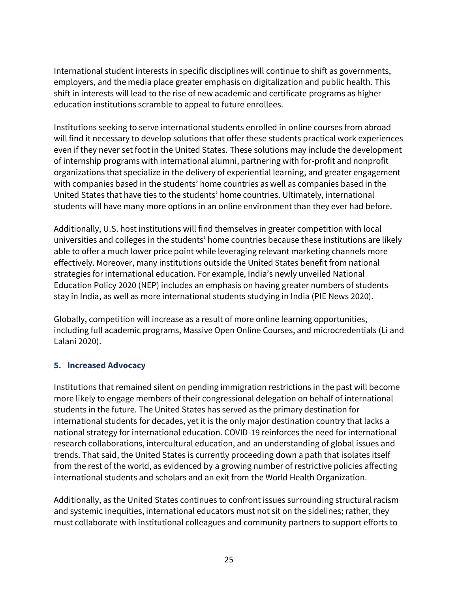International student interests in specific disciplines will continue to shift as governments, employers, and the media place greater emphasis on digitalization and public health. This shift in interests will lead to the rise of new academic and certificate programs as higher education institutions scramble to appeal to future enrollees.

Institutions seeking to serve international students enrolled in online courses from abroad will find it necessary to develop solutions that offer these students practical work experiences even if they never set foot in the United States. These solutions may include the development of internship programs with international alumni, partnering with for-profit and nonprofit organizations that specialize in the delivery of experiential learning, and greater engagement with companies based in the students' home countries as well as companies based in the United States that have ties to the students' home countries. Ultimately, international students will have many more options in an online environment than they ever had before.

Additionally, U.S. host institutions will find themselves in greater competition with local universities and colleges in the students' home countries because these institutions are likely able to offer a much lower price point while leveraging relevant marketing channels more effectively. Moreover, many institutions outside the United States benefit from national strategies for international education. For example, India's newly unveiled National Education Policy 2020 (NEP) includes an emphasis on having greater numbers of students stay in India, as well as more international students studying in India (PIE News 2020).

Globally, competition will increase as a result of more online learning opportunities, including full academic programs, Massive Open Online Courses, and microcredentials (Li and Lalani 2020).

#### <span id="page-25-0"></span>**5. Increased Advocacy**

Institutions that remained silent on pending immigration restrictions in the past will become more likely to engage members of their congressional delegation on behalf of international students in the future. The United States has served as the primary destination for international students for decades, yet it is the only major destination country that lacks a national strategy for international education. COVID-19 reinforces the need for international research collaborations, intercultural education, and an understanding of global issues and trends. That said, the United States is currently proceeding down a path that isolates itself from the rest of the world, as evidenced by a growing number of restrictive policies affecting international students and scholars and an exit from the World Health Organization.

Additionally, as the United States continues to confront issues surrounding structural racism and systemic inequities, international educators must not sit on the sidelines; rather, they must collaborate with institutional colleagues and community partners to support efforts to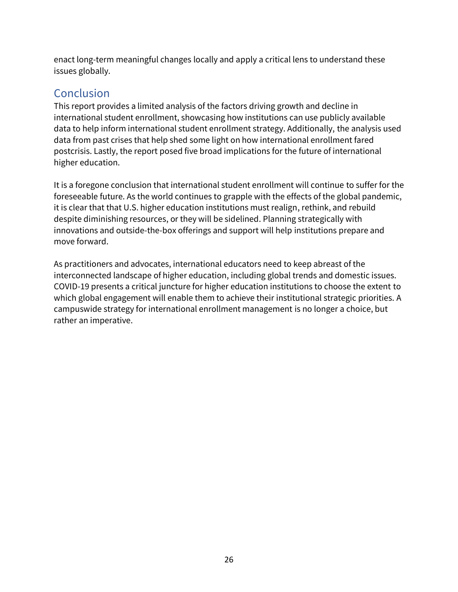enact long-term meaningful changes locally and apply a critical lens to understand these issues globally.

# <span id="page-26-0"></span>Conclusion

This report provides a limited analysis of the factors driving growth and decline in international student enrollment, showcasing how institutions can use publicly available data to help inform international student enrollment strategy. Additionally, the analysis used data from past crises that help shed some light on how international enrollment fared postcrisis. Lastly, the report posed five broad implications for the future of international higher education.

It is a foregone conclusion that international student enrollment will continue to suffer for the foreseeable future. As the world continues to grapple with the effects of the global pandemic, it is clear that that U.S. higher education institutions must realign, rethink, and rebuild despite diminishing resources, or they will be sidelined. Planning strategically with innovations and outside-the-box offerings and support will help institutions prepare and move forward.

<span id="page-26-1"></span>As practitioners and advocates, international educators need to keep abreast of the interconnected landscape of higher education, including global trends and domestic issues. COVID-19 presents a critical juncture for higher education institutions to choose the extent to which global engagement will enable them to achieve their institutional strategic priorities. A campuswide strategy for international enrollment management is no longer a choice, but rather an imperative.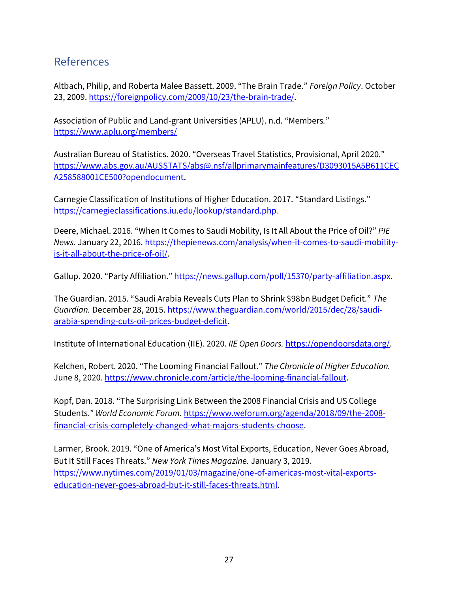## References

Altbach, Philip, and Roberta Malee Bassett. 2009. "The Brain Trade." *Foreign Policy*. October 23, 2009[. https://foreignpolicy.com/2009/10/23/the-brain-trade/.](https://foreignpolicy.com/2009/10/23/the-brain-trade/)

Association of Public and Land-grant Universities (APLU). n.d. "Members*.*" <https://www.aplu.org/members/>

Australian Bureau of Statistics. 2020. "Overseas Travel Statistics, Provisional, April 2020." [https://www.abs.gov.au/AUSSTATS/abs@.nsf/allprimarymainfeatures/D3093015A5B611CEC](https://www.abs.gov.au/AUSSTATS/abs@.nsf/allprimarymainfeatures/D3093015A5B611CECA258588001CE500?opendocument) [A258588001CE500?opendocument.](https://www.abs.gov.au/AUSSTATS/abs@.nsf/allprimarymainfeatures/D3093015A5B611CECA258588001CE500?opendocument)

Carnegie Classification of Institutions of Higher Education. 2017. "Standard Listings." [https://carnegieclassifications.iu.edu/lookup/standard.php.](https://carnegieclassifications.iu.edu/lookup/standard.php)

Deere, Michael. 2016. "When It Comes to Saudi Mobility, Is It All About the Price of Oil?" *PIE News.* January 22, 2016[. https://thepienews.com/analysis/when-it-comes-to-saudi-mobility](https://thepienews.com/analysis/when-it-comes-to-saudi-mobility-is-it-all-about-the-price-of-oil/)[is-it-all-about-the-price-of-oil/.](https://thepienews.com/analysis/when-it-comes-to-saudi-mobility-is-it-all-about-the-price-of-oil/)

Gallup. 2020. "Party Affiliation." [https://news.gallup.com/poll/15370/party-affiliation.aspx.](https://news.gallup.com/poll/15370/party-affiliation.aspx)

The Guardian. 2015. "Saudi Arabia Reveals Cuts Plan to Shrink \$98bn Budget Deficit." *The Guardian.* December 28, 2015[. https://www.theguardian.com/world/2015/dec/28/saudi](https://www.theguardian.com/world/2015/dec/28/saudi-arabia-spending-cuts-oil-prices-budget-deficit)[arabia-spending-cuts-oil-prices-budget-deficit.](https://www.theguardian.com/world/2015/dec/28/saudi-arabia-spending-cuts-oil-prices-budget-deficit)

Institute of International Education (IIE). 2020. *IIE Open Doors.* [https://opendoorsdata.org/.](https://opendoorsdata.org/)

Kelchen, Robert. 2020. "The Looming Financial Fallout." *The Chronicle of Higher Education.* June 8, 2020. [https://www.chronicle.com/article/the-looming-financial-fallout.](https://www.chronicle.com/article/the-looming-financial-fallout)

Kopf, Dan. 2018. "The Surprising Link Between the 2008 Financial Crisis and US College Students." *World Economic Forum.* [https://www.weforum.org/agenda/2018/09/the-2008](https://www.weforum.org/agenda/2018/09/the-2008-financial-crisis-completely-changed-what-majors-students-choose) [financial-crisis-completely-changed-what-majors-students-choose.](https://www.weforum.org/agenda/2018/09/the-2008-financial-crisis-completely-changed-what-majors-students-choose)

Larmer, Brook. 2019. "One of America's Most Vital Exports, Education, Never Goes Abroad, But It Still Faces Threats." *New York Times Magazine.* January 3, 2019. [https://www.nytimes.com/2019/01/03/magazine/one-of-americas-most-vital-exports](https://www.nytimes.com/2019/01/03/magazine/one-of-americas-most-vital-exports-education-never-goes-abroad-but-it-still-faces-threats.html)[education-never-goes-abroad-but-it-still-faces-threats.html.](https://www.nytimes.com/2019/01/03/magazine/one-of-americas-most-vital-exports-education-never-goes-abroad-but-it-still-faces-threats.html)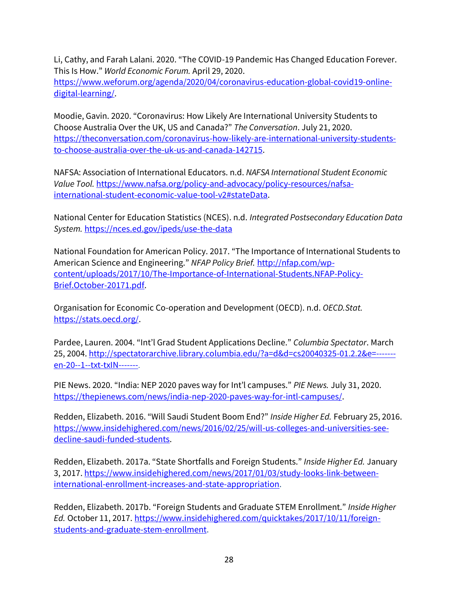Li, Cathy, and Farah Lalani. 2020. "The COVID-19 Pandemic Has Changed Education Forever. This Is How." *World Economic Forum.* April 29, 2020. [https://www.weforum.org/agenda/2020/04/coronavirus-education-global-covid19-online-](https://www.weforum.org/agenda/2020/04/coronavirus-education-global-covid19-online-digital-learning/)

[digital-learning/.](https://www.weforum.org/agenda/2020/04/coronavirus-education-global-covid19-online-digital-learning/)

Moodie, Gavin. 2020. "Coronavirus: How Likely Are International University Students to Choose Australia Over the UK, US and Canada?" *The Conversation*. July 21, 2020. [https://theconversation.com/coronavirus-how-likely-are-international-university-students](https://theconversation.com/coronavirus-how-likely-are-international-university-students-to-choose-australia-over-the-uk-us-and-canada-142715)[to-choose-australia-over-the-uk-us-and-canada-142715.](https://theconversation.com/coronavirus-how-likely-are-international-university-students-to-choose-australia-over-the-uk-us-and-canada-142715)

NAFSA: Association of International Educators. n.d. *NAFSA International Student Economic Value Tool.* [https://www.nafsa.org/policy-and-advocacy/policy-resources/nafsa](https://www.nafsa.org/policy-and-advocacy/policy-resources/nafsa-international-student-economic-value-tool-v2#stateData)[international-student-economic-value-tool-v2#stateData.](https://www.nafsa.org/policy-and-advocacy/policy-resources/nafsa-international-student-economic-value-tool-v2#stateData)

National Center for Education Statistics (NCES). n.d. *Integrated Postsecondary Education Data System.* <https://nces.ed.gov/ipeds/use-the-data>

National Foundation for American Policy. 2017. "The Importance of International Students to American Science and Engineering." *NFAP Policy Brief.* [http://nfap.com/wp](http://nfap.com/wp-content/uploads/2017/10/The-Importance-of-International-Students.NFAP-Policy-Brief.October-20171.pdf)[content/uploads/2017/10/The-Importance-of-International-Students.NFAP-Policy-](http://nfap.com/wp-content/uploads/2017/10/The-Importance-of-International-Students.NFAP-Policy-Brief.October-20171.pdf)[Brief.October-20171.pdf.](http://nfap.com/wp-content/uploads/2017/10/The-Importance-of-International-Students.NFAP-Policy-Brief.October-20171.pdf)

Organisation for Economic Co-operation and Development (OECD). n.d. *OECD.Stat.* [https://stats.oecd.org/.](https://stats.oecd.org/)

Pardee, Lauren. 2004. "Int'l Grad Student Applications Decline." *Columbia Spectator*. March 25, 2004[. http://spectatorarchive.library.columbia.edu/?a=d&d=cs20040325-01.2.2&e=------](http://spectatorarchive.library.columbia.edu/?a=d&d=cs20040325-01.2.2&e=-------en-20--1--txt-txIN-------) [en-20--1--txt-txIN-------](http://spectatorarchive.library.columbia.edu/?a=d&d=cs20040325-01.2.2&e=-------en-20--1--txt-txIN-------).

PIE News. 2020. "India: NEP 2020 paves way for Int'l campuses." *PIE News.* July 31, 2020. [https://thepienews.com/news/india-nep-2020-paves-way-for-intl-campuses/.](https://thepienews.com/news/india-nep-2020-paves-way-for-intl-campuses/)

Redden, Elizabeth. 2016. "Will Saudi Student Boom End?" *Inside Higher Ed.* February 25, 2016. [https://www.insidehighered.com/news/2016/02/25/will-us-colleges-and-universities-see](https://www.insidehighered.com/news/2016/02/25/will-us-colleges-and-universities-see-decline-saudi-funded-students)[decline-saudi-funded-students.](https://www.insidehighered.com/news/2016/02/25/will-us-colleges-and-universities-see-decline-saudi-funded-students)

Redden, Elizabeth. 2017a. "State Shortfalls and Foreign Students." *Inside Higher Ed.* January 3, 2017[. https://www.insidehighered.com/news/2017/01/03/study-looks-link-between](https://www.insidehighered.com/news/2017/01/03/study-looks-link-between-international-enrollment-increases-and-state-appropriation)[international-enrollment-increases-and-state-appropriation.](https://www.insidehighered.com/news/2017/01/03/study-looks-link-between-international-enrollment-increases-and-state-appropriation)

Redden, Elizabeth. 2017b. "Foreign Students and Graduate STEM Enrollment." *Inside Higher Ed.* October 11, 2017[. https://www.insidehighered.com/quicktakes/2017/10/11/foreign](https://www.insidehighered.com/quicktakes/2017/10/11/foreign-students-and-graduate-stem-enrollment)[students-and-graduate-stem-enrollment.](https://www.insidehighered.com/quicktakes/2017/10/11/foreign-students-and-graduate-stem-enrollment)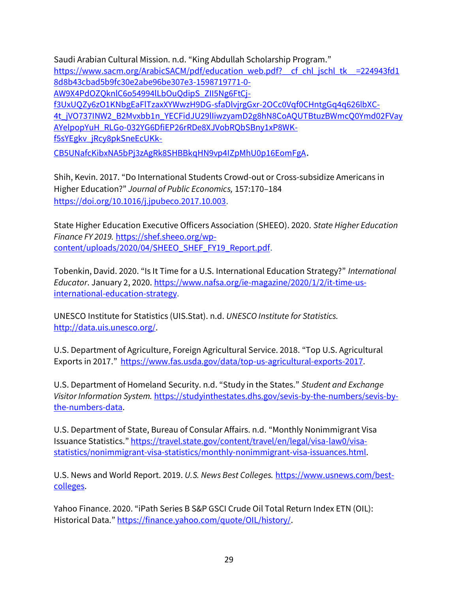Saudi Arabian Cultural Mission. n.d. "King Abdullah Scholarship Program." [https://www.sacm.org/ArabicSACM/pdf/education\\_web.pdf?\\_\\_cf\\_chl\\_jschl\\_tk\\_\\_=224943fd1](https://www.sacm.org/ArabicSACM/pdf/education_web.pdf?__cf_chl_jschl_tk__=224943fd18d8b43cbad5b9fc30e2abe96be307e3-1598719771-0-AW9X4PdOZQknlC6o54994lLbOuQdipS_ZII5Ng6FtCj-f3UxUQZy6zO1KNbgEaFlTzaxXYWwzH9DG-sfaDlvjrgGxr-2OCc0Vqf0CHntgGq4q626lbXC-4t_jVO737INW2_B2Mvxbb1n_YECFidJU29lIiwzyamD2g8hN8CoAQUTBtuzBWmcQ0Ymd02FVayAYelpopYuH_RLGo-032YG6DfiEP26rRDe8XJVobRQbSBny1xP8WK-f5sYEgkv_jRcy8pkSneEcUKk-CB5UNafcKibxNA5bPj3zAgRk8SHBBkqHN9vp4IZpMhU0p16EomFgA) [8d8b43cbad5b9fc30e2abe96be307e3-1598719771-0-](https://www.sacm.org/ArabicSACM/pdf/education_web.pdf?__cf_chl_jschl_tk__=224943fd18d8b43cbad5b9fc30e2abe96be307e3-1598719771-0-AW9X4PdOZQknlC6o54994lLbOuQdipS_ZII5Ng6FtCj-f3UxUQZy6zO1KNbgEaFlTzaxXYWwzH9DG-sfaDlvjrgGxr-2OCc0Vqf0CHntgGq4q626lbXC-4t_jVO737INW2_B2Mvxbb1n_YECFidJU29lIiwzyamD2g8hN8CoAQUTBtuzBWmcQ0Ymd02FVayAYelpopYuH_RLGo-032YG6DfiEP26rRDe8XJVobRQbSBny1xP8WK-f5sYEgkv_jRcy8pkSneEcUKk-CB5UNafcKibxNA5bPj3zAgRk8SHBBkqHN9vp4IZpMhU0p16EomFgA) [AW9X4PdOZQknlC6o54994lLbOuQdipS\\_ZII5Ng6FtCj](https://www.sacm.org/ArabicSACM/pdf/education_web.pdf?__cf_chl_jschl_tk__=224943fd18d8b43cbad5b9fc30e2abe96be307e3-1598719771-0-AW9X4PdOZQknlC6o54994lLbOuQdipS_ZII5Ng6FtCj-f3UxUQZy6zO1KNbgEaFlTzaxXYWwzH9DG-sfaDlvjrgGxr-2OCc0Vqf0CHntgGq4q626lbXC-4t_jVO737INW2_B2Mvxbb1n_YECFidJU29lIiwzyamD2g8hN8CoAQUTBtuzBWmcQ0Ymd02FVayAYelpopYuH_RLGo-032YG6DfiEP26rRDe8XJVobRQbSBny1xP8WK-f5sYEgkv_jRcy8pkSneEcUKk-CB5UNafcKibxNA5bPj3zAgRk8SHBBkqHN9vp4IZpMhU0p16EomFgA)[f3UxUQZy6zO1KNbgEaFlTzaxXYWwzH9DG-sfaDlvjrgGxr-2OCc0Vqf0CHntgGq4q626lbXC-](https://www.sacm.org/ArabicSACM/pdf/education_web.pdf?__cf_chl_jschl_tk__=224943fd18d8b43cbad5b9fc30e2abe96be307e3-1598719771-0-AW9X4PdOZQknlC6o54994lLbOuQdipS_ZII5Ng6FtCj-f3UxUQZy6zO1KNbgEaFlTzaxXYWwzH9DG-sfaDlvjrgGxr-2OCc0Vqf0CHntgGq4q626lbXC-4t_jVO737INW2_B2Mvxbb1n_YECFidJU29lIiwzyamD2g8hN8CoAQUTBtuzBWmcQ0Ymd02FVayAYelpopYuH_RLGo-032YG6DfiEP26rRDe8XJVobRQbSBny1xP8WK-f5sYEgkv_jRcy8pkSneEcUKk-CB5UNafcKibxNA5bPj3zAgRk8SHBBkqHN9vp4IZpMhU0p16EomFgA)[4t\\_jVO737INW2\\_B2Mvxbb1n\\_YECFidJU29lIiwzyamD2g8hN8CoAQUTBtuzBWmcQ0Ymd02FVay](https://www.sacm.org/ArabicSACM/pdf/education_web.pdf?__cf_chl_jschl_tk__=224943fd18d8b43cbad5b9fc30e2abe96be307e3-1598719771-0-AW9X4PdOZQknlC6o54994lLbOuQdipS_ZII5Ng6FtCj-f3UxUQZy6zO1KNbgEaFlTzaxXYWwzH9DG-sfaDlvjrgGxr-2OCc0Vqf0CHntgGq4q626lbXC-4t_jVO737INW2_B2Mvxbb1n_YECFidJU29lIiwzyamD2g8hN8CoAQUTBtuzBWmcQ0Ymd02FVayAYelpopYuH_RLGo-032YG6DfiEP26rRDe8XJVobRQbSBny1xP8WK-f5sYEgkv_jRcy8pkSneEcUKk-CB5UNafcKibxNA5bPj3zAgRk8SHBBkqHN9vp4IZpMhU0p16EomFgA) [AYelpopYuH\\_RLGo-032YG6DfiEP26rRDe8XJVobRQbSBny1xP8WK](https://www.sacm.org/ArabicSACM/pdf/education_web.pdf?__cf_chl_jschl_tk__=224943fd18d8b43cbad5b9fc30e2abe96be307e3-1598719771-0-AW9X4PdOZQknlC6o54994lLbOuQdipS_ZII5Ng6FtCj-f3UxUQZy6zO1KNbgEaFlTzaxXYWwzH9DG-sfaDlvjrgGxr-2OCc0Vqf0CHntgGq4q626lbXC-4t_jVO737INW2_B2Mvxbb1n_YECFidJU29lIiwzyamD2g8hN8CoAQUTBtuzBWmcQ0Ymd02FVayAYelpopYuH_RLGo-032YG6DfiEP26rRDe8XJVobRQbSBny1xP8WK-f5sYEgkv_jRcy8pkSneEcUKk-CB5UNafcKibxNA5bPj3zAgRk8SHBBkqHN9vp4IZpMhU0p16EomFgA)[f5sYEgkv\\_jRcy8pkSneEcUKk-](https://www.sacm.org/ArabicSACM/pdf/education_web.pdf?__cf_chl_jschl_tk__=224943fd18d8b43cbad5b9fc30e2abe96be307e3-1598719771-0-AW9X4PdOZQknlC6o54994lLbOuQdipS_ZII5Ng6FtCj-f3UxUQZy6zO1KNbgEaFlTzaxXYWwzH9DG-sfaDlvjrgGxr-2OCc0Vqf0CHntgGq4q626lbXC-4t_jVO737INW2_B2Mvxbb1n_YECFidJU29lIiwzyamD2g8hN8CoAQUTBtuzBWmcQ0Ymd02FVayAYelpopYuH_RLGo-032YG6DfiEP26rRDe8XJVobRQbSBny1xP8WK-f5sYEgkv_jRcy8pkSneEcUKk-CB5UNafcKibxNA5bPj3zAgRk8SHBBkqHN9vp4IZpMhU0p16EomFgA)

[CB5UNafcKibxNA5bPj3zAgRk8SHBBkqHN9vp4IZpMhU0p16EomFgA](https://www.sacm.org/ArabicSACM/pdf/education_web.pdf?__cf_chl_jschl_tk__=224943fd18d8b43cbad5b9fc30e2abe96be307e3-1598719771-0-AW9X4PdOZQknlC6o54994lLbOuQdipS_ZII5Ng6FtCj-f3UxUQZy6zO1KNbgEaFlTzaxXYWwzH9DG-sfaDlvjrgGxr-2OCc0Vqf0CHntgGq4q626lbXC-4t_jVO737INW2_B2Mvxbb1n_YECFidJU29lIiwzyamD2g8hN8CoAQUTBtuzBWmcQ0Ymd02FVayAYelpopYuH_RLGo-032YG6DfiEP26rRDe8XJVobRQbSBny1xP8WK-f5sYEgkv_jRcy8pkSneEcUKk-CB5UNafcKibxNA5bPj3zAgRk8SHBBkqHN9vp4IZpMhU0p16EomFgA).

Shih, Kevin. 2017. "Do International Students Crowd-out or Cross-subsidize Americans in Higher Education?" *Journal of Public Economics,* 157:170–184 [https://doi.org/10.1016/j.jpubeco.2017.10.003.](https://doi.org/10.1016/j.jpubeco.2017.10.003)

State Higher Education Executive Officers Association (SHEEO). 2020. *State Higher Education Finance FY 2019.* [https://shef.sheeo.org/wp](https://shef.sheeo.org/wp-content/uploads/2020/04/SHEEO_SHEF_FY19_Report.pdf)[content/uploads/2020/04/SHEEO\\_SHEF\\_FY19\\_Report.pdf.](https://shef.sheeo.org/wp-content/uploads/2020/04/SHEEO_SHEF_FY19_Report.pdf)

Tobenkin, David. 2020. "Is It Time for a U.S. International Education Strategy?" *International Educator*. January 2, 2020[. https://www.nafsa.org/ie-magazine/2020/1/2/it-time-us](https://www.nafsa.org/ie-magazine/2020/1/2/it-time-us-international-education-strategy)[international-education-strategy.](https://www.nafsa.org/ie-magazine/2020/1/2/it-time-us-international-education-strategy)

UNESCO Institute for Statistics (UIS.Stat). n.d. *UNESCO Institute for Statistics.* [http://data.uis.unesco.org/.](http://data.uis.unesco.org/)

U.S. Department of Agriculture, Foreign Agricultural Service. 2018. "Top U.S. Agricultural Exports in 2017." [https://www.fas.usda.gov/data/top-us-agricultural-exports-2017.](https://www.fas.usda.gov/data/top-us-agricultural-exports-2017)

U.S. Department of Homeland Security. n.d. "Study in the States." *Student and Exchange Visitor Information System.* [https://studyinthestates.dhs.gov/sevis-by-the-numbers/sevis-by](https://studyinthestates.dhs.gov/sevis-by-the-numbers/sevis-by-the-numbers-data)[the-numbers-data.](https://studyinthestates.dhs.gov/sevis-by-the-numbers/sevis-by-the-numbers-data)

U.S. Department of State, Bureau of Consular Affairs. n.d. "Monthly Nonimmigrant Visa Issuance Statistics." [https://travel.state.gov/content/travel/en/legal/visa-law0/visa](https://travel.state.gov/content/travel/en/legal/visa-law0/visa-statistics/nonimmigrant-visa-statistics/monthly-nonimmigrant-visa-issuances.html)[statistics/nonimmigrant-visa-statistics/monthly-nonimmigrant-visa-issuances.html.](https://travel.state.gov/content/travel/en/legal/visa-law0/visa-statistics/nonimmigrant-visa-statistics/monthly-nonimmigrant-visa-issuances.html)

U.S. News and World Report. 2019. *U.S. News Best Colleges.* [https://www.usnews.com/best](https://www.usnews.com/best-colleges)[colleges.](https://www.usnews.com/best-colleges)

Yahoo Finance. 2020. "iPath Series B S&P GSCI Crude Oil Total Return Index ETN (OIL): Historical Data." [https://finance.yahoo.com/quote/OIL/history/.](https://finance.yahoo.com/quote/OIL/history/)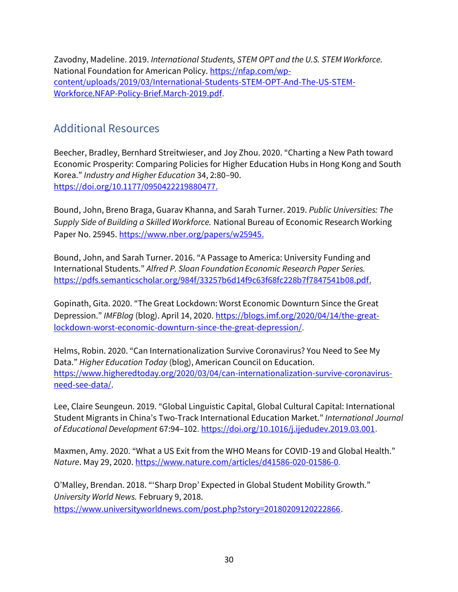Zavodny, Madeline. 2019. *International Students, STEM OPT and the U.S. STEM Workforce.* National Foundation for American Policy[. https://nfap.com/wp](https://nfap.com/wp-content/uploads/2019/03/International-Students-STEM-OPT-And-The-US-STEM-Workforce.NFAP-Policy-Brief.March-2019.pdf)[content/uploads/2019/03/International-Students-STEM-OPT-And-The-US-STEM-](https://nfap.com/wp-content/uploads/2019/03/International-Students-STEM-OPT-And-The-US-STEM-Workforce.NFAP-Policy-Brief.March-2019.pdf)[Workforce.NFAP-Policy-Brief.March-2019.pdf.](https://nfap.com/wp-content/uploads/2019/03/International-Students-STEM-OPT-And-The-US-STEM-Workforce.NFAP-Policy-Brief.March-2019.pdf)

## <span id="page-30-0"></span>Additional Resources

Beecher, Bradley, Bernhard Streitwieser, and Joy Zhou. 2020. "Charting a New Path toward Economic Prosperity: Comparing Policies for Higher Education Hubs in Hong Kong and South Korea." *Industry and Higher Education* 34, 2:80–90. [https://doi.org/10.1177/0950422219880477.](https://doi.org/10.1177/0950422219880477)

Bound, John, Breno Braga, Guarav Khanna, and Sarah Turner. 2019. *Public Universities: The Supply Side of Building a Skilled Workforce.* National Bureau of Economic Research Working Paper No. 25945. [https://www.nber.org/papers/w25945.](https://www.nber.org/papers/w25945)

Bound, John, and Sarah Turner. 2016. "A Passage to America: University Funding and International Students." *Alfred P. Sloan Foundation Economic Research Paper Series.* [https://pdfs.semanticscholar.org/984f/33257b6d14f9c63f68fc228b7f7847541b08.pdf.](https://pdfs.semanticscholar.org/984f/33257b6d14f9c63f68fc228b7f7847541b08.pdf)

Gopinath, Gita. 2020. "The Great Lockdown: Worst Economic Downturn Since the Great Depression." *IMFBlog* (blog). April 14, 2020. [https://blogs.imf.org/2020/04/14/the-great](https://blogs.imf.org/2020/04/14/the-great-lockdown-worst-economic-downturn-since-the-great-depression/)[lockdown-worst-economic-downturn-since-the-great-depression/.](https://blogs.imf.org/2020/04/14/the-great-lockdown-worst-economic-downturn-since-the-great-depression/)

Helms, Robin. 2020. "Can Internationalization Survive Coronavirus? You Need to See My Data." *Higher Education Today* (blog), American Council on Education. [https://www.higheredtoday.org/2020/03/04/can-internationalization-survive-coronavirus](https://www.higheredtoday.org/2020/03/04/can-internationalization-survive-coronavirus-need-see-data/)[need-see-data/.](https://www.higheredtoday.org/2020/03/04/can-internationalization-survive-coronavirus-need-see-data/)

Lee, Claire Seungeun. 2019. "Global Linguistic Capital, Global Cultural Capital: International Student Migrants in China's Two-Track International Education Market." *International Journal of Educational Development* 67:94–102. [https://doi.org/10.1016/j.ijedudev.2019.03.001.](https://nam11.safelinks.protection.outlook.com/?url=https%3A%2F%2Fdoi.org%2F10.1016%2Fj.ijedudev.2019.03.001&data=02%7C01%7C%7C59af66b63a7e45506cba08d85a544586%7C8685bb08cb6e4e4297475dec61ed385b%7C0%7C0%7C637358665288195074&sdata=SEAqPANyHu7FgNHAT5wWIxyL7QufmBg50IMO6%2Fa1lpA%3D&reserved=0)

Maxmen, Amy. 2020. "What a US Exit from the WHO Means for COVID-19 and Global Health." *Nature*. May 29, 2020[. https://www.nature.com/articles/d41586-020-01586-0.](https://www.nature.com/articles/d41586-020-01586-0)

O'Malley, Brendan. 2018. "'Sharp Drop' Expected in Global Student Mobility Growth." *University World News.* February 9, 2018. [https://www.universityworldnews.com/post.php?story=20180209120222866.](https://www.universityworldnews.com/post.php?story=20180209120222866)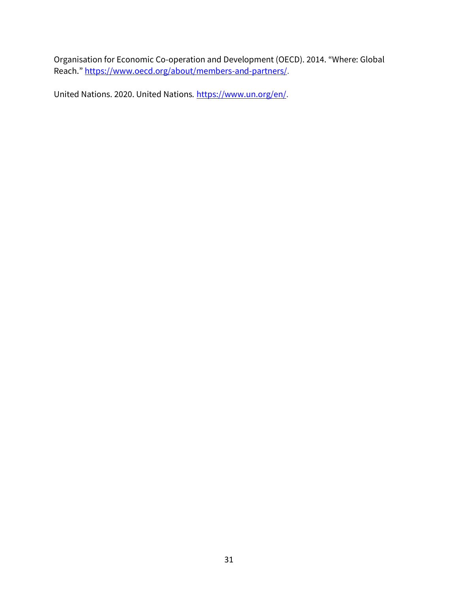Organisation for Economic Co-operation and Development (OECD). 2014. "Where: Global Reach." [https://www.oecd.org/about/members-and-partners/.](https://www.oecd.org/about/members-and-partners/)

United Nations. 2020. United Nations*.* [https://www.un.org/en/.](https://www.un.org/en/)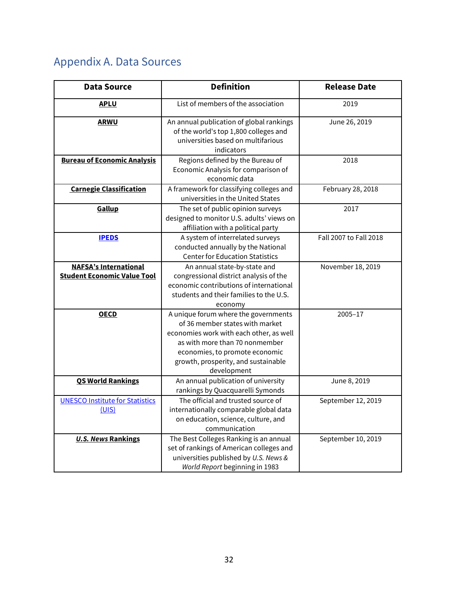# <span id="page-32-0"></span>Appendix A. Data Sources

| <b>Data Source</b>                                                 | <b>Definition</b>                                                                                                                                                                                                                            | <b>Release Date</b>    |
|--------------------------------------------------------------------|----------------------------------------------------------------------------------------------------------------------------------------------------------------------------------------------------------------------------------------------|------------------------|
| <b>APLU</b>                                                        | List of members of the association                                                                                                                                                                                                           | 2019                   |
| <b>ARWU</b>                                                        | An annual publication of global rankings<br>of the world's top 1,800 colleges and<br>universities based on multifarious<br>indicators                                                                                                        | June 26, 2019          |
| <b>Bureau of Economic Analysis</b>                                 | Regions defined by the Bureau of<br>Economic Analysis for comparison of<br>economic data                                                                                                                                                     | 2018                   |
| <b>Carnegie Classification</b>                                     | A framework for classifying colleges and<br>universities in the United States                                                                                                                                                                | February 28, 2018      |
| Gallup                                                             | The set of public opinion surveys<br>designed to monitor U.S. adults' views on<br>affiliation with a political party                                                                                                                         | 2017                   |
| <b>IPEDS</b>                                                       | A system of interrelated surveys<br>conducted annually by the National<br><b>Center for Education Statistics</b>                                                                                                                             | Fall 2007 to Fall 2018 |
| <b>NAFSA's International</b><br><b>Student Economic Value Tool</b> | An annual state-by-state and<br>congressional district analysis of the<br>economic contributions of international<br>students and their families to the U.S.<br>economy                                                                      | November 18, 2019      |
| <b>OECD</b>                                                        | A unique forum where the governments<br>of 36 member states with market<br>economies work with each other, as well<br>as with more than 70 nonmember<br>economies, to promote economic<br>growth, prosperity, and sustainable<br>development | 2005-17                |
| <b>QS World Rankings</b>                                           | An annual publication of university<br>rankings by Quacquarelli Symonds                                                                                                                                                                      | June 8, 2019           |
| <b>UNESCO Institute for Statistics</b><br>(UIS)                    | The official and trusted source of<br>internationally comparable global data<br>on education, science, culture, and<br>communication                                                                                                         | September 12, 2019     |
| <b>U.S. News Rankings</b>                                          | The Best Colleges Ranking is an annual<br>set of rankings of American colleges and<br>universities published by U.S. News &<br>World Report beginning in 1983                                                                                | September 10, 2019     |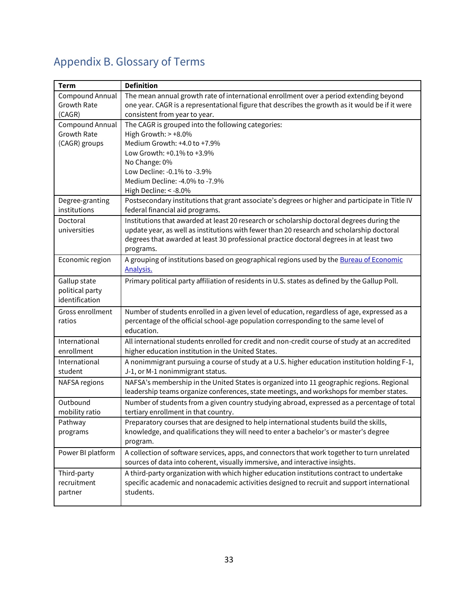# <span id="page-33-0"></span>Appendix B. Glossary of Terms

| <b>Term</b>          | <b>Definition</b>                                                                               |
|----------------------|-------------------------------------------------------------------------------------------------|
| Compound Annual      | The mean annual growth rate of international enrollment over a period extending beyond          |
| Growth Rate          | one year. CAGR is a representational figure that describes the growth as it would be if it were |
| (CAGR)               | consistent from year to year.                                                                   |
| Compound Annual      | The CAGR is grouped into the following categories:                                              |
| <b>Growth Rate</b>   | High Growth: $> +8.0\%$                                                                         |
| (CAGR) groups        | Medium Growth: +4.0 to +7.9%                                                                    |
|                      | Low Growth: +0.1% to +3.9%                                                                      |
|                      | No Change: 0%                                                                                   |
|                      | Low Decline: - 0.1% to - 3.9%                                                                   |
|                      | Medium Decline: -4.0% to -7.9%                                                                  |
|                      | High Decline: < - 8.0%                                                                          |
| Degree-granting      | Postsecondary institutions that grant associate's degrees or higher and participate in Title IV |
| institutions         | federal financial aid programs.                                                                 |
| Doctoral             | Institutions that awarded at least 20 research or scholarship doctoral degrees during the       |
| universities         | update year, as well as institutions with fewer than 20 research and scholarship doctoral       |
|                      | degrees that awarded at least 30 professional practice doctoral degrees in at least two         |
|                      | programs.                                                                                       |
| Economic region      | A grouping of institutions based on geographical regions used by the Bureau of Economic         |
|                      | <b>Analysis.</b>                                                                                |
| Gallup state         | Primary political party affiliation of residents in U.S. states as defined by the Gallup Poll.  |
| political party      |                                                                                                 |
| identification       |                                                                                                 |
| Gross enrollment     | Number of students enrolled in a given level of education, regardless of age, expressed as a    |
| ratios               | percentage of the official school-age population corresponding to the same level of             |
|                      | education.                                                                                      |
| International        | All international students enrolled for credit and non-credit course of study at an accredited  |
| enrollment           | higher education institution in the United States.                                              |
| International        | A nonimmigrant pursuing a course of study at a U.S. higher education institution holding F-1,   |
| student              | J-1, or M-1 nonimmigrant status.                                                                |
| <b>NAFSA</b> regions | NAFSA's membership in the United States is organized into 11 geographic regions. Regional       |
|                      | leadership teams organize conferences, state meetings, and workshops for member states.         |
| Outbound             | Number of students from a given country studying abroad, expressed as a percentage of total     |
| mobility ratio       | tertiary enrollment in that country.                                                            |
| Pathway              | Preparatory courses that are designed to help international students build the skills,          |
| programs             | knowledge, and qualifications they will need to enter a bachelor's or master's degree           |
|                      | program.                                                                                        |
| Power BI platform    | A collection of software services, apps, and connectors that work together to turn unrelated    |
|                      | sources of data into coherent, visually immersive, and interactive insights.                    |
| Third-party          | A third-party organization with which higher education institutions contract to undertake       |
| recruitment          | specific academic and nonacademic activities designed to recruit and support international      |
| partner              | students.                                                                                       |
|                      |                                                                                                 |